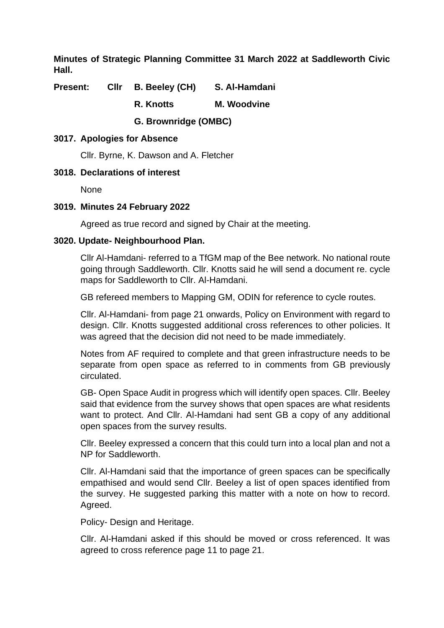**Minutes of Strategic Planning Committee 31 March 2022 at Saddleworth Civic Hall.**

**Present: Cllr B. Beeley (CH) S. Al-Hamdani**

**R. Knotts M. Woodvine**

**G. Brownridge (OMBC)**

# **3017. Apologies for Absence**

Cllr. Byrne, K. Dawson and A. Fletcher

# **3018. Declarations of interest**

None

## **3019. Minutes 24 February 2022**

Agreed as true record and signed by Chair at the meeting.

## **3020. Update- Neighbourhood Plan.**

Cllr Al-Hamdani- referred to a TfGM map of the Bee network. No national route going through Saddleworth. Cllr. Knotts said he will send a document re. cycle maps for Saddleworth to Cllr. Al-Hamdani.

GB refereed members to Mapping GM, ODIN for reference to cycle routes.

Cllr. Al-Hamdani- from page 21 onwards, Policy on Environment with regard to design. Cllr. Knotts suggested additional cross references to other policies. It was agreed that the decision did not need to be made immediately.

Notes from AF required to complete and that green infrastructure needs to be separate from open space as referred to in comments from GB previously circulated.

GB- Open Space Audit in progress which will identify open spaces. Cllr. Beeley said that evidence from the survey shows that open spaces are what residents want to protect. And Cllr. Al-Hamdani had sent GB a copy of any additional open spaces from the survey results.

Cllr. Beeley expressed a concern that this could turn into a local plan and not a NP for Saddleworth.

Cllr. Al-Hamdani said that the importance of green spaces can be specifically empathised and would send Cllr. Beeley a list of open spaces identified from the survey. He suggested parking this matter with a note on how to record. Agreed.

Policy- Design and Heritage.

Cllr. Al-Hamdani asked if this should be moved or cross referenced. It was agreed to cross reference page 11 to page 21.